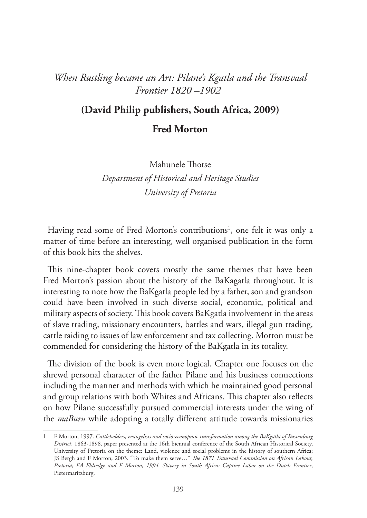## *When Rustling became an Art: Pilane's Kgatla and the Transvaal Frontier 1820 –1902*

## **(David Philip publishers, South Africa, 2009)**

**Fred Morton**

Mahunele Thotse

*Department of Historical and Heritage Studies University of Pretoria*

Having read some of Fred Morton's contributions<sup>1</sup>, one felt it was only a matter of time before an interesting, well organised publication in the form of this book hits the shelves.

This nine-chapter book covers mostly the same themes that have been Fred Morton's passion about the history of the BaKagatla throughout. It is interesting to note how the BaKgatla people led by a father, son and grandson could have been involved in such diverse social, economic, political and military aspects of society. This book covers BaKgatla involvement in the areas of slave trading, missionary encounters, battles and wars, illegal gun trading, cattle raiding to issues of law enforcement and tax collecting. Morton must be commended for considering the history of the BaKgatla in its totality.

The division of the book is even more logical. Chapter one focuses on the shrewd personal character of the father Pilane and his business connections including the manner and methods with which he maintained good personal and group relations with both Whites and Africans. This chapter also reflects on how Pilane successfully pursued commercial interests under the wing of the *maBuru* while adopting a totally different attitude towards missionaries

<sup>1</sup> F Morton, 1997. *Cattleholders, evangelists and socio-econopmic transformation among the BaKgatla of Rustenburg District*, 1863-1898, paper presented at the 16th biennial conference of the South African Historical Society, University of Pretoria on the theme: Land, violence and social problems in the history of southern Africa; JS Bergh and F Morton, 2003. "To make them serve…" *The 1871 Transvaal Commission on African Labour, Pretoria; EA Eldredge and F Morton, 1994. Slavery in South Africa: Captive Labor on the Dutch Frontier*, Pietermaritzburg.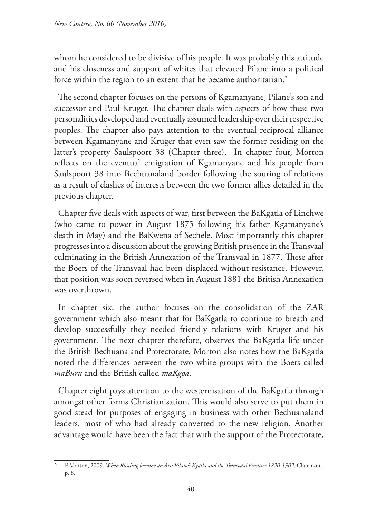whom he considered to be divisive of his people. It was probably this attitude and his closeness and support of whites that elevated Pilane into a political force within the region to an extent that he became authoritarian.<sup>2</sup>

The second chapter focuses on the persons of Kgamanyane, Pilane's son and successor and Paul Kruger. The chapter deals with aspects of how these two personalities developed and eventually assumed leadership over their respective peoples. The chapter also pays attention to the eventual reciprocal alliance between Kgamanyane and Kruger that even saw the former residing on the latter's property Saulspoort 38 (Chapter three). In chapter four, Morton reflects on the eventual emigration of Kgamanyane and his people from Saulspoort 38 into Bechuanaland border following the souring of relations as a result of clashes of interests between the two former allies detailed in the previous chapter.

Chapter five deals with aspects of war, first between the BaKgatla of Linchwe (who came to power in August 1875 following his father Kgamanyane's death in May) and the BaKwena of Sechele. Most importantly this chapter progresses into a discussion about the growing British presence in the Transvaal culminating in the British Annexation of the Transvaal in 1877. These after the Boers of the Transvaal had been displaced without resistance. However, that position was soon reversed when in August 1881 the British Annexation was overthrown.

In chapter six, the author focuses on the consolidation of the ZAR government which also meant that for BaKgatla to continue to breath and develop successfully they needed friendly relations with Kruger and his government. The next chapter therefore, observes the BaKgatla life under the British Bechuanaland Protectorate. Morton also notes how the BaKgatla noted the differences between the two white groups with the Boers called *maBuru* and the British called *maKgoa*.

Chapter eight pays attention to the westernisation of the BaKgatla through amongst other forms Christianisation. This would also serve to put them in good stead for purposes of engaging in business with other Bechuanaland leaders, most of who had already converted to the new religion. Another advantage would have been the fact that with the support of the Protectorate,

<sup>2</sup> F Morton, 2009. *When Rustling became an Art: Pilane's Kgatla and the Transvaal Frontier 1820-1902*, Claremont, p. 8.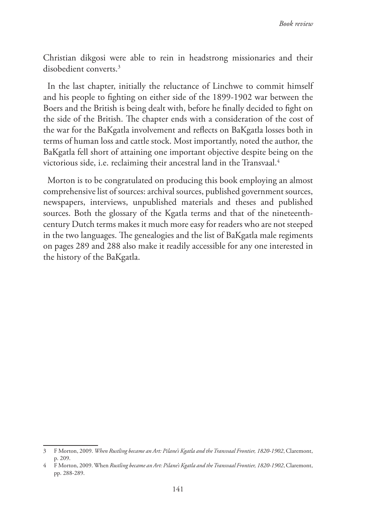Christian dikgosi were able to rein in headstrong missionaries and their disobedient converts.3

In the last chapter, initially the reluctance of Linchwe to commit himself and his people to fighting on either side of the 1899-1902 war between the Boers and the British is being dealt with, before he finally decided to fight on the side of the British. The chapter ends with a consideration of the cost of the war for the BaKgatla involvement and reflects on BaKgatla losses both in terms of human loss and cattle stock. Most importantly, noted the author, the BaKgatla fell short of attaining one important objective despite being on the victorious side, i.e. reclaiming their ancestral land in the Transvaal.4

Morton is to be congratulated on producing this book employing an almost comprehensive list of sources: archival sources, published government sources, newspapers, interviews, unpublished materials and theses and published sources. Both the glossary of the Kgatla terms and that of the nineteenthcentury Dutch terms makes it much more easy for readers who are not steeped in the two languages. The genealogies and the list of BaKgatla male regiments on pages 289 and 288 also make it readily accessible for any one interested in the history of the BaKgatla.

<sup>3</sup> F Morton, 2009. *When Rustling became an Art: Pilane's Kgatla and the Transvaal Frontier, 1820-1902*, Claremont, p. 209.

<sup>4</sup> F Morton, 2009. When *Rustling became an Art: Pilane's Kgatla and the Transvaal Frontier, 1820-1902*, Claremont, pp. 288-289.